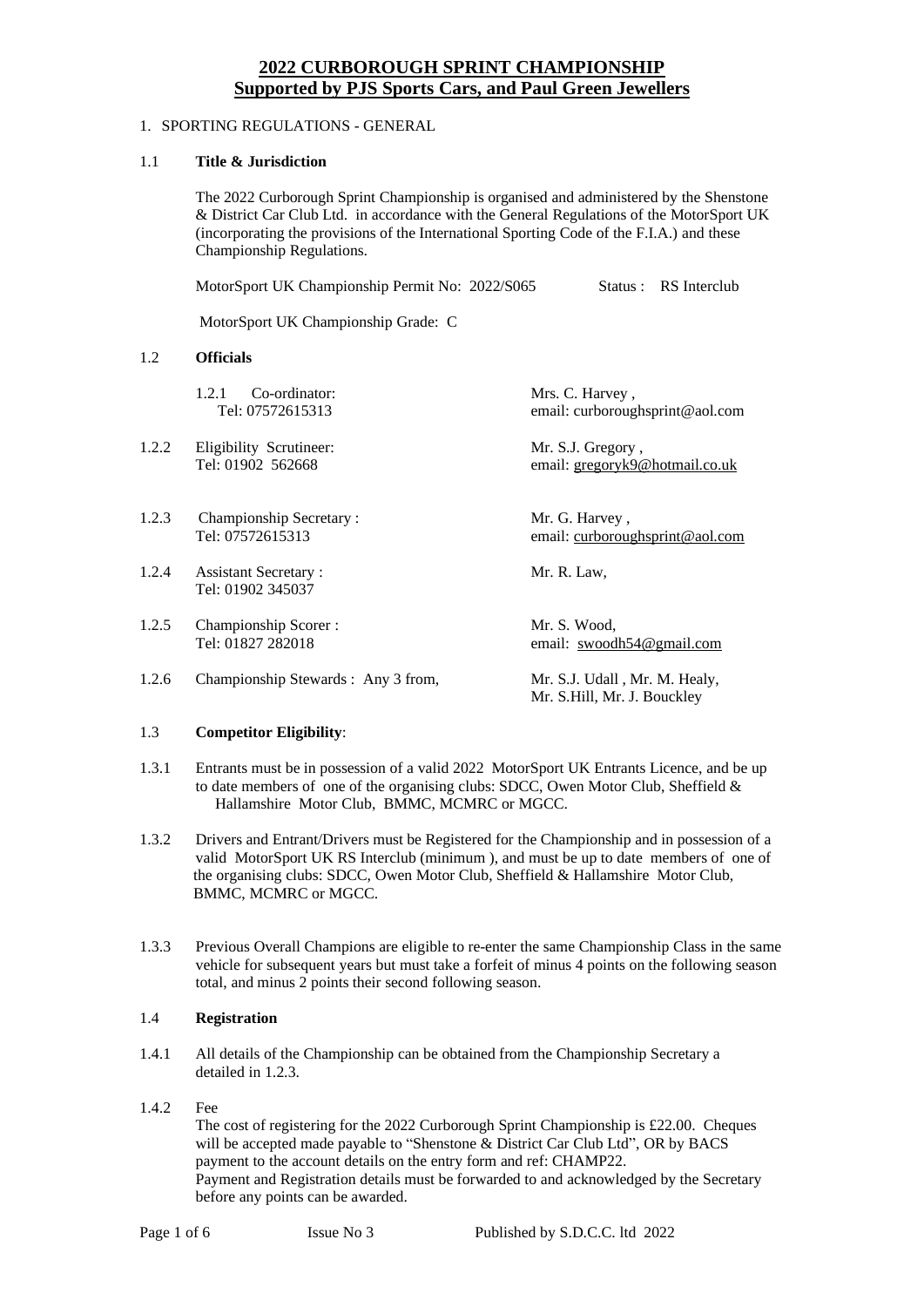# **2022 CURBOROUGH SPRINT CHAMPIONSHIP Supported by PJS Sports Cars, and Paul Green Jewellers**

# 1. SPORTING REGULATIONS - GENERAL

### 1.1 **Title & Jurisdiction**

The 2022 Curborough Sprint Championship is organised and administered by the Shenstone & District Car Club Ltd. in accordance with the General Regulations of the MotorSport UK (incorporating the provisions of the International Sporting Code of the F.I.A.) and these Championship Regulations.

|       | MotorSport UK Championship Permit No: 2022/S065  | RS Interclub<br>Status :                                     |
|-------|--------------------------------------------------|--------------------------------------------------------------|
|       | MotorSport UK Championship Grade: C              |                                                              |
| 1.2   | <b>Officials</b>                                 |                                                              |
|       | 1.2.1<br>Co-ordinator:<br>Tel: 07572615313       | Mrs. C. Harvey,<br>email: curboroughsprint@aol.com           |
| 1.2.2 | Eligibility Scrutineer:<br>Tel: 01902 562668     | Mr. S.J. Gregory,<br>email: gregoryk9@hotmail.co.uk          |
| 1.2.3 | Championship Secretary:<br>Tel: 07572615313      | Mr. G. Harvey,<br>email: curboroughsprint@aol.com            |
| 1.2.4 | <b>Assistant Secretary:</b><br>Tel: 01902 345037 | Mr. R. Law,                                                  |
| 1.2.5 | Championship Scorer:<br>Tel: 01827 282018        | Mr. S. Wood,<br>email: swoodh54@gmail.com                    |
| 1.2.6 | Championship Stewards : Any 3 from,              | Mr. S.J. Udall, Mr. M. Healy,<br>Mr. S.Hill, Mr. J. Bouckley |

### 1.3 **Competitor Eligibility**:

- 1.3.1 Entrants must be in possession of a valid 2022 MotorSport UK Entrants Licence, and be up to date members of one of the organising clubs: SDCC, Owen Motor Club, Sheffield  $\&$ Hallamshire Motor Club, BMMC, MCMRC or MGCC.
- 1.3.2 Drivers and Entrant/Drivers must be Registered for the Championship and in possession of a valid MotorSport UK RS Interclub (minimum ), and must be up to date members of one of the organising clubs: SDCC, Owen Motor Club, Sheffield & Hallamshire Motor Club, BMMC, MCMRC or MGCC.
- 1.3.3 Previous Overall Champions are eligible to re-enter the same Championship Class in the same vehicle for subsequent years but must take a forfeit of minus 4 points on the following season total, and minus 2 points their second following season.

# 1.4 **Registration**

- 1.4.1 All details of the Championship can be obtained from the Championship Secretary a detailed in 1.2.3.
- 1.4.2 Fee

The cost of registering for the 2022 Curborough Sprint Championship is £22.00. Cheques will be accepted made payable to "Shenstone & District Car Club Ltd", OR by BACS payment to the account details on the entry form and ref: CHAMP22. Payment and Registration details must be forwarded to and acknowledged by the Secretary before any points can be awarded.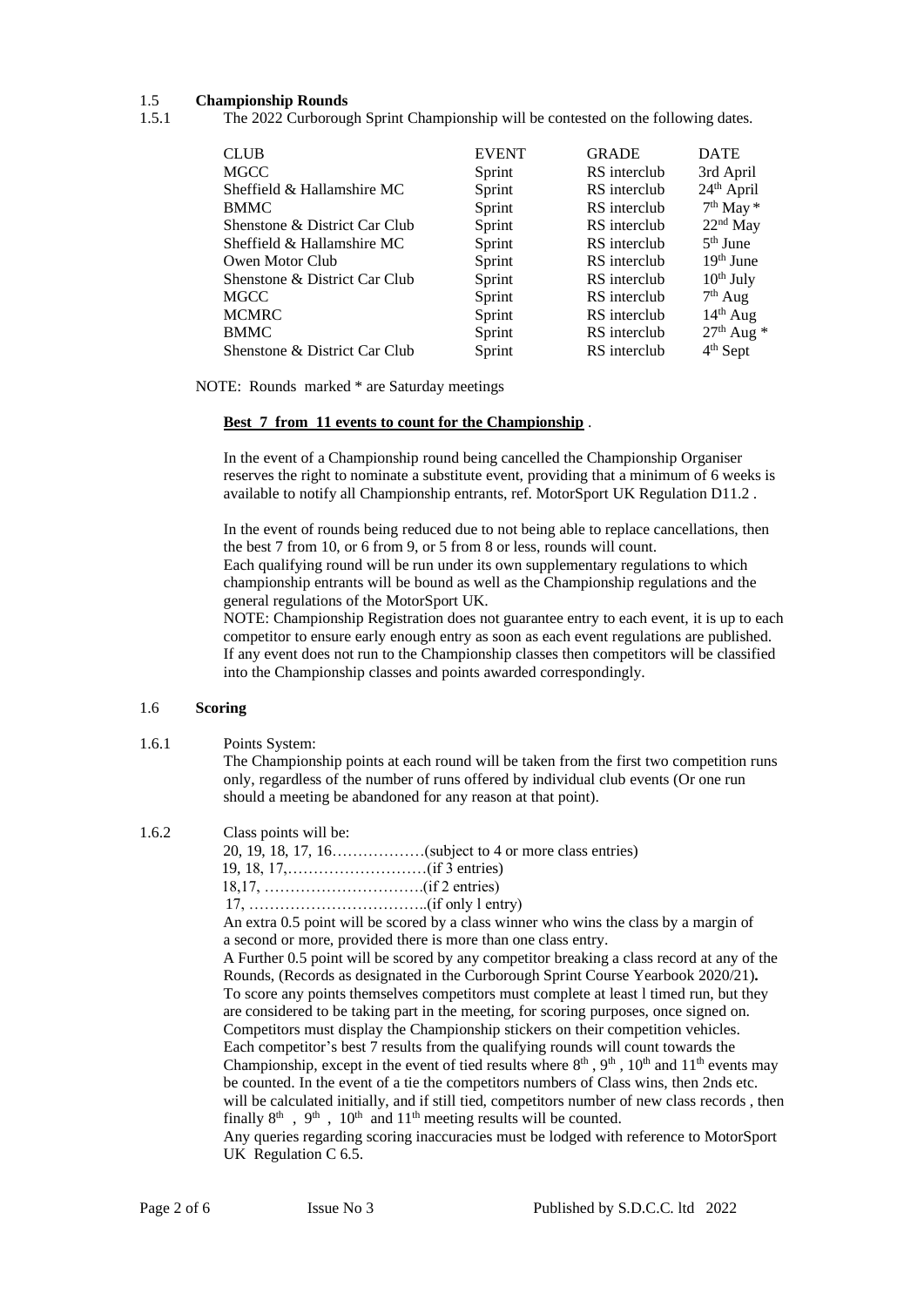### 1.5 **Championship Rounds**

1.5.1 The 2022 Curborough Sprint Championship will be contested on the following dates.

| <b>CLUB</b>                   | <b>EVENT</b> | <b>GRADE</b> | <b>DATE</b>    |
|-------------------------------|--------------|--------------|----------------|
| <b>MGCC</b>                   | Sprint       | RS interclub | 3rd April      |
| Sheffield & Hallamshire MC    | Sprint       | RS interclub | $24th$ April   |
| <b>BMMC</b>                   | Sprint       | RS interclub | $7th$ May $*$  |
| Shenstone & District Car Club | Sprint       | RS interclub | $22nd$ May     |
| Sheffield & Hallamshire MC    | Sprint       | RS interclub | $5th$ June     |
| Owen Motor Club               | Sprint       | RS interclub | $19th$ June    |
| Shenstone & District Car Club | Sprint       | RS interclub | $10^{th}$ July |
| <b>MGCC</b>                   | Sprint       | RS interclub | $7th$ Aug      |
| <b>MCMRC</b>                  | Sprint       | RS interclub | $14th$ Aug     |
| <b>BMMC</b>                   | Sprint       | RS interclub | $27th$ Aug $*$ |
| Shenstone & District Car Club | Sprint       | RS interclub | $4th$ Sept     |
|                               |              |              |                |

NOTE: Rounds marked \* are Saturday meetings

#### **Best 7 from 11 events to count for the Championship** .

In the event of a Championship round being cancelled the Championship Organiser reserves the right to nominate a substitute event, providing that a minimum of 6 weeks is available to notify all Championship entrants, ref. MotorSport UK Regulation D11.2 .

In the event of rounds being reduced due to not being able to replace cancellations, then the best 7 from 10, or 6 from 9, or 5 from 8 or less, rounds will count. Each qualifying round will be run under its own supplementary regulations to which championship entrants will be bound as well as the Championship regulations and the

general regulations of the MotorSport UK.

NOTE: Championship Registration does not guarantee entry to each event, it is up to each competitor to ensure early enough entry as soon as each event regulations are published. If any event does not run to the Championship classes then competitors will be classified into the Championship classes and points awarded correspondingly.

#### 1.6 **Scoring**

1.6.1 Points System:

The Championship points at each round will be taken from the first two competition runs only, regardless of the number of runs offered by individual club events (Or one run should a meeting be abandoned for any reason at that point).

| 1.6.2 | Class points will be: |
|-------|-----------------------|
|-------|-----------------------|

| $17, \ldots, \ldots, \ldots, \ldots, \ldots, \ldots, \text{(if only } l \text{ entry})$              |
|------------------------------------------------------------------------------------------------------|
| An extra 0.5 point will be scored by a class winner who wins the class by a margin of                |
| a second or more, provided there is more than one class entry.                                       |
| A Further 0.5 point will be scored by any competitor breaking a class record at any of the           |
| Rounds, (Records as designated in the Curborough Sprint Course Yearbook 2020/21).                    |
| To score any points themselves competitors must complete at least 1 timed run, but they              |
| are considered to be taking part in the meeting, for scoring purposes, once signed on.               |
| Competition must display the Championship stickers on their competition vehicles.                    |
| Each competitor's best 7 results from the qualifying rounds will count towards the                   |
| Championship, except in the event of tied results where $8th$ , $9th$ , $10th$ and $11th$ events may |
| be counted. In the event of a tie the competitors numbers of Class wins, then 2nds etc.              |
|                                                                                                      |

will be calculated initially, and if still tied, competitors number of new class records , then finally  $8<sup>th</sup>$ ,  $9<sup>th</sup>$ ,  $10<sup>th</sup>$  and  $11<sup>th</sup>$  meeting results will be counted. Any queries regarding scoring inaccuracies must be lodged with reference to MotorSport

UK Regulation C 6.5.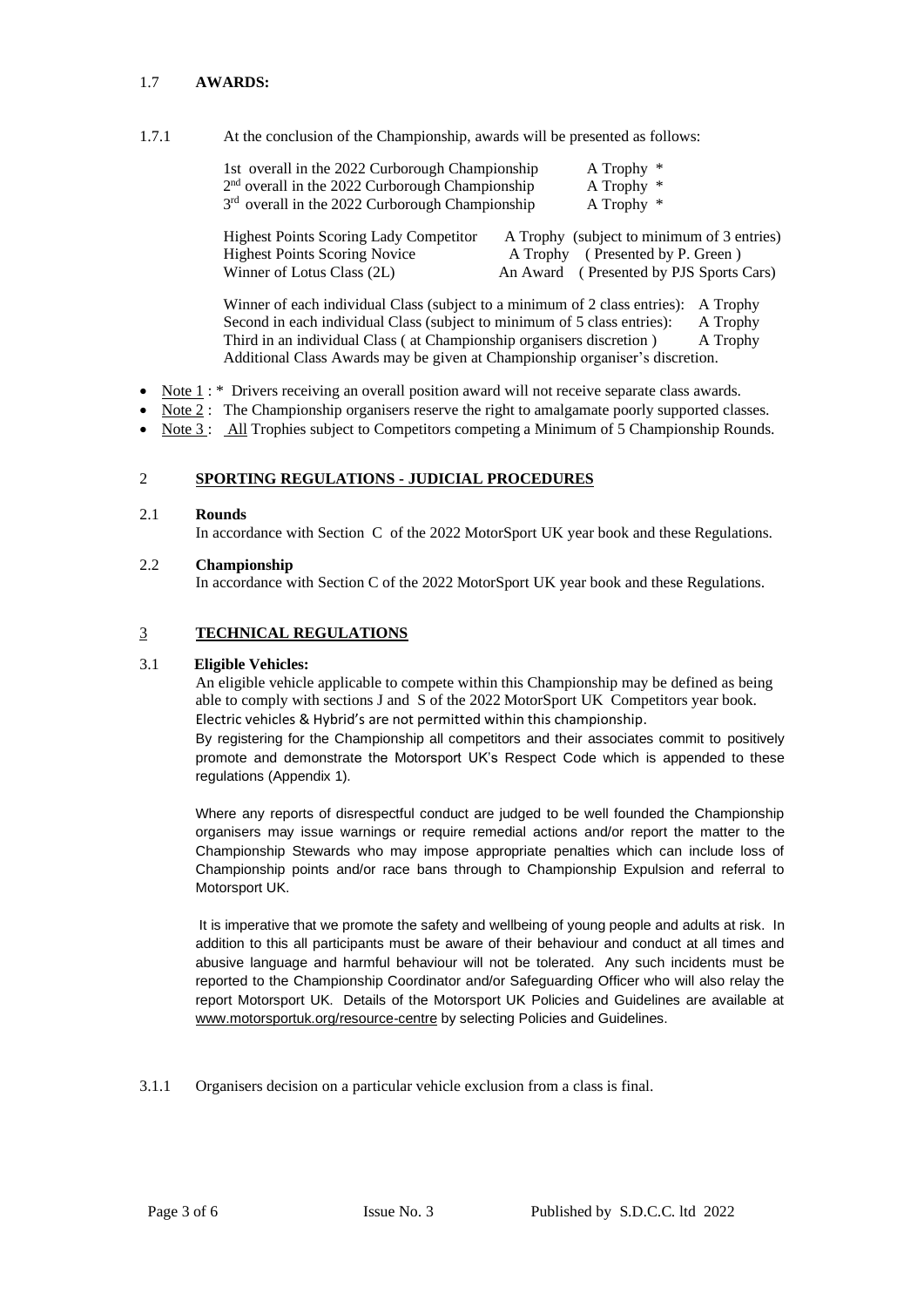# 1.7 **AWARDS:**

1.7.1 At the conclusion of the Championship, awards will be presented as follows:

|                                                                                       | 1st overall in the 2022 Curborough Championship             | A Trophy $*$                                                                   |
|---------------------------------------------------------------------------------------|-------------------------------------------------------------|--------------------------------------------------------------------------------|
|                                                                                       | 2 <sup>nd</sup> overall in the 2022 Curborough Championship | A Trophy *                                                                     |
|                                                                                       | 3 <sup>rd</sup> overall in the 2022 Curborough Championship | A Trophy $*$                                                                   |
| <b>Highest Points Scoring Lady Competitor</b><br><b>Highest Points Scoring Novice</b> |                                                             | A Trophy (subject to minimum of 3 entries)<br>A Trophy (Presented by P. Green) |
| Winner of Lotus Class (2L)                                                            |                                                             | An Award (Presented by PJS Sports Cars)                                        |

Winner of each individual Class (subject to a minimum of 2 class entries): A Trophy Second in each individual Class (subject to minimum of 5 class entries): A Trophy Third in an individual Class (at Championship organisers discretion) A Trophy Additional Class Awards may be given at Championship organiser's discretion.

- Note 1 : \* Drivers receiving an overall position award will not receive separate class awards.
- Note 2: The Championship organisers reserve the right to amalgamate poorly supported classes.
- Note 3: All Trophies subject to Competitors competing a Minimum of 5 Championship Rounds.

# 2 **SPORTING REGULATIONS - JUDICIAL PROCEDURES**

### 2.1 **Rounds**

In accordance with Section C of the 2022 MotorSport UK year book and these Regulations.

### 2.2 **Championship**

In accordance with Section C of the 2022 MotorSport UK year book and these Regulations.

# 3 **TECHNICAL REGULATIONS**

### 3.1 **Eligible Vehicles:**

An eligible vehicle applicable to compete within this Championship may be defined as being able to comply with sections J and S of the 2022 MotorSport UK Competitors year book. Electric vehicles & Hybrid's are not permitted within this championship.

By registering for the Championship all competitors and their associates commit to positively promote and demonstrate the Motorsport UK's Respect Code which is appended to these regulations (Appendix 1).

Where any reports of disrespectful conduct are judged to be well founded the Championship organisers may issue warnings or require remedial actions and/or report the matter to the Championship Stewards who may impose appropriate penalties which can include loss of Championship points and/or race bans through to Championship Expulsion and referral to Motorsport UK.

It is imperative that we promote the safety and wellbeing of young people and adults at risk. In addition to this all participants must be aware of their behaviour and conduct at all times and abusive language and harmful behaviour will not be tolerated. Any such incidents must be reported to the Championship Coordinator and/or Safeguarding Officer who will also relay the report Motorsport UK. Details of the Motorsport UK Policies and Guidelines are available at [www.motorsportuk.org/resource-centre](https://eur02.safelinks.protection.outlook.com/?url=http%3A%2F%2Fwww.motorsportuk.org%2Fresource-centre&data=04%7C01%7CAndrea.Duncan%40motorsportuk.org%7C61b31c33dd1245fa808208d9d06fe991%7C63a2da0237564d81baedec1930321ea4%7C0%7C0%7C637770001435279889%7CUnknown%7CTWFpbGZsb3d8eyJWIjoiMC4wLjAwMDAiLCJQIjoiV2luMzIiLCJBTiI6Ik1haWwiLCJXVCI6Mn0%3D%7C3000&sdata=LlBR2OBC74JmjF8gUiN6P5JyOzzzgEpAwFeEPyZNFVc%3D&reserved=0) by selecting Policies and Guidelines.

3.1.1 Organisers decision on a particular vehicle exclusion from a class is final.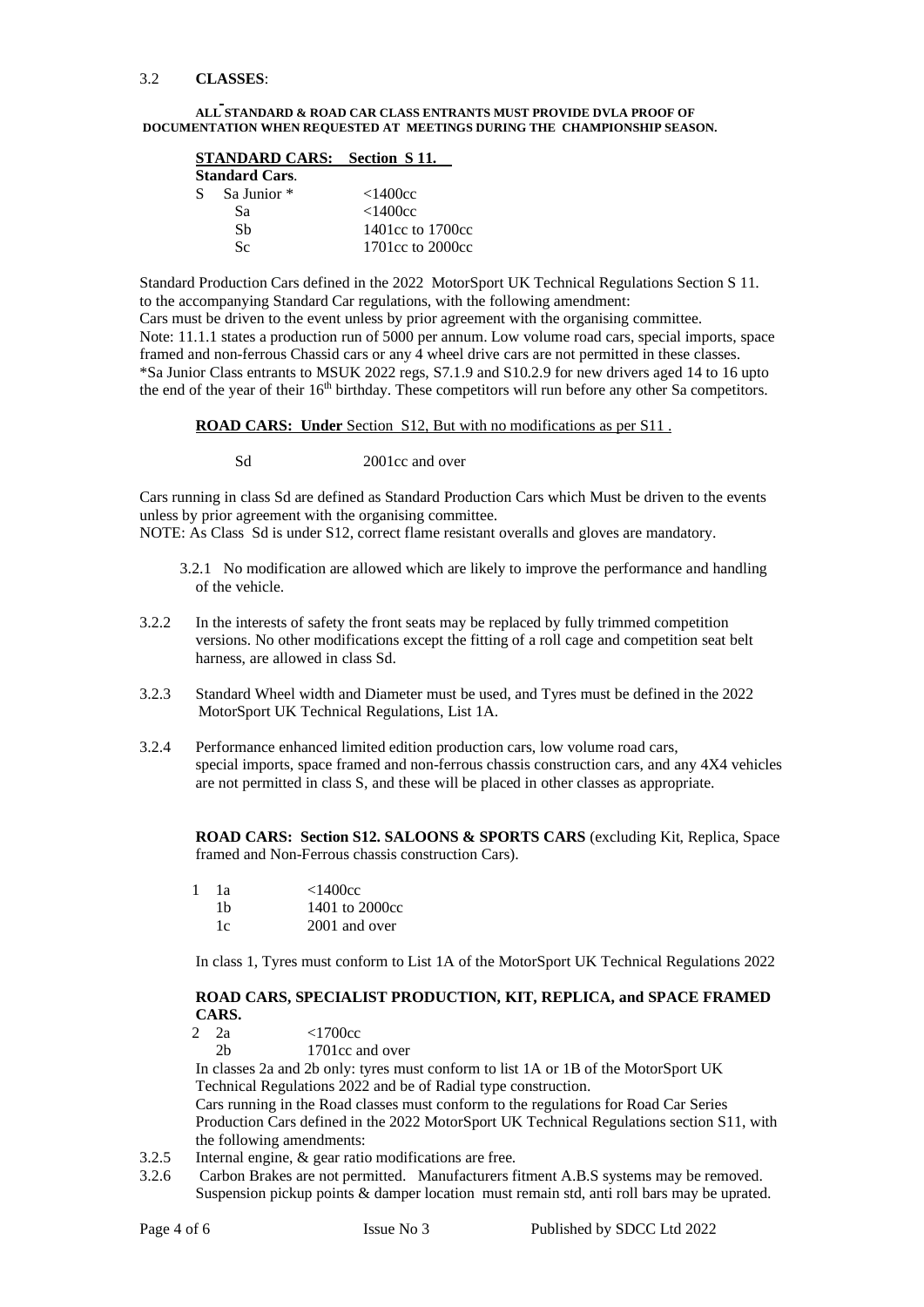#### 3.2 **CLASSES**:

#### **ALL STANDARD & ROAD CAR CLASS ENTRANTS MUST PROVIDE DVLA PROOF OF DOCUMENTATION WHEN REQUESTED AT MEETINGS DURING THE CHAMPIONSHIP SEASON.**

| <b>STANDARD CARS:</b> Section S 11. |                  |
|-------------------------------------|------------------|
| <b>Standard Cars.</b>               |                  |
| $S$ Sa Junior $*$                   | <1400cc          |
| Sа                                  | <1400cc          |
| Sh                                  | 1401cc to 1700cc |
| Sc.                                 | 1701cc to 2000cc |

Standard Production Cars defined in the 2022 MotorSport UK Technical Regulations Section S 11. to the accompanying Standard Car regulations, with the following amendment: Cars must be driven to the event unless by prior agreement with the organising committee. Note: 11.1.1 states a production run of 5000 per annum. Low volume road cars, special imports, space framed and non-ferrous Chassid cars or any 4 wheel drive cars are not permitted in these classes. \*Sa Junior Class entrants to MSUK 2022 regs, S7.1.9 and S10.2.9 for new drivers aged 14 to 16 upto the end of the year of their 16<sup>th</sup> birthday. These competitors will run before any other Sa competitors.

#### **ROAD CARS: Under** Section S12, But with no modifications as per S11 .

Sd 2001cc and over

Cars running in class Sd are defined as Standard Production Cars which Must be driven to the events unless by prior agreement with the organising committee.

NOTE: As Class Sd is under S12, correct flame resistant overalls and gloves are mandatory.

- 3.2.1 No modification are allowed which are likely to improve the performance and handling of the vehicle.
- 3.2.2 In the interests of safety the front seats may be replaced by fully trimmed competition versions. No other modifications except the fitting of a roll cage and competition seat belt harness, are allowed in class Sd.
- 3.2.3 Standard Wheel width and Diameter must be used, and Tyres must be defined in the 2022 MotorSport UK Technical Regulations, List 1A.
- 3.2.4 Performance enhanced limited edition production cars, low volume road cars, special imports, space framed and non-ferrous chassis construction cars, and any 4X4 vehicles are not permitted in class S, and these will be placed in other classes as appropriate.

**ROAD CARS: Section S12. SALOONS & SPORTS CARS** (excluding Kit, Replica, Space framed and Non-Ferrous chassis construction Cars).

| 1 | -la | <1400cc        |
|---|-----|----------------|
|   | 1b  | 1401 to 2000cc |
|   | 1c  | 2001 and over  |

In class 1, Tyres must conform to List 1A of the MotorSport UK Technical Regulations 2022

# **ROAD CARS, SPECIALIST PRODUCTION, KIT, REPLICA, and SPACE FRAMED CARS.**

- 2 2a <1700cc
	- 2b 1701cc and over

In classes 2a and 2b only: tyres must conform to list 1A or 1B of the MotorSport UK Technical Regulations 2022 and be of Radial type construction.

Cars running in the Road classes must conform to the regulations for Road Car Series Production Cars defined in the 2022 MotorSport UK Technical Regulations section S11, with the following amendments:

- 3.2.5 Internal engine, & gear ratio modifications are free.
- 3.2.6 Carbon Brakes are not permitted. Manufacturers fitment A.B.S systems may be removed. Suspension pickup points & damper location must remain std, anti roll bars may be uprated.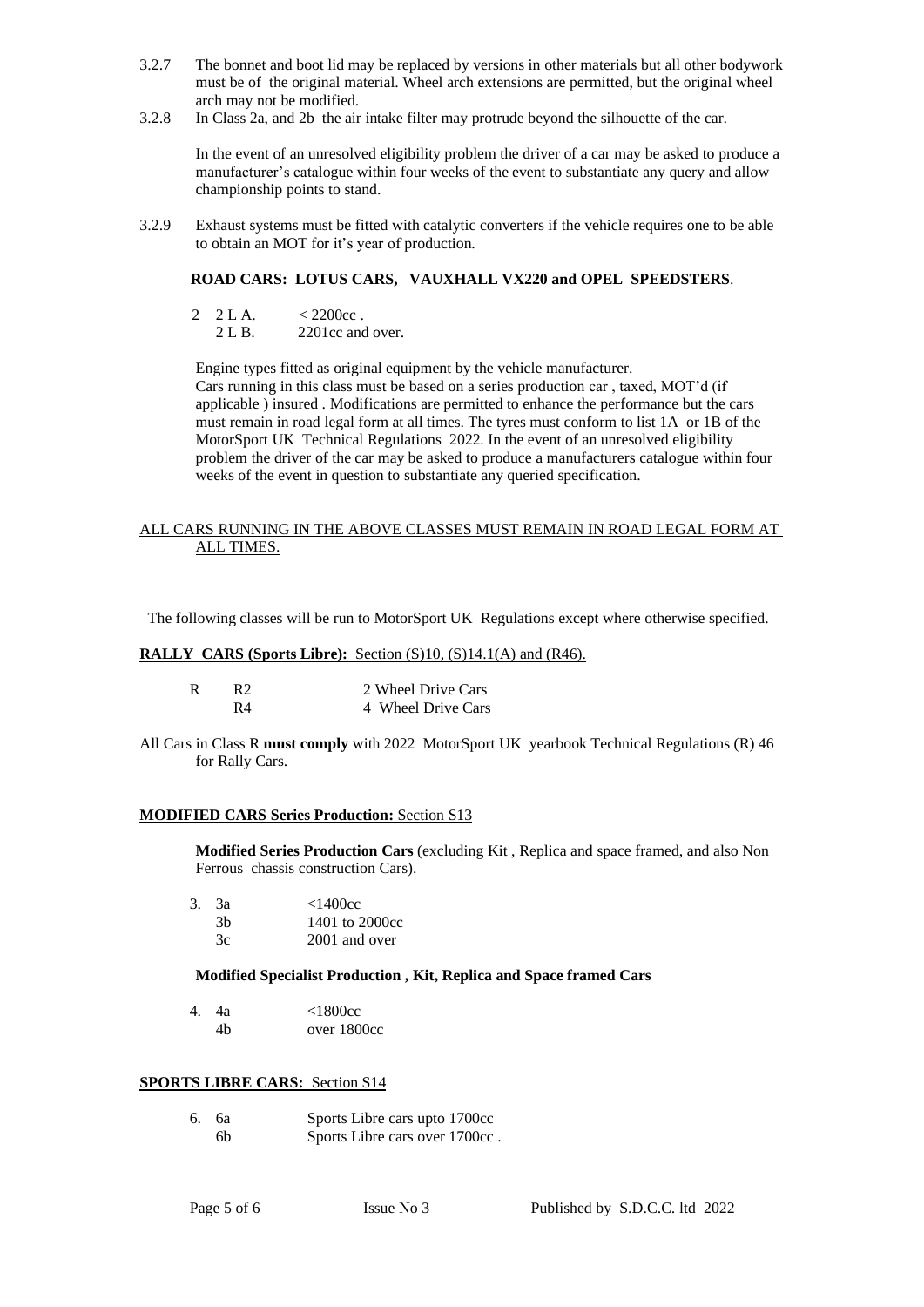- 3.2.7 The bonnet and boot lid may be replaced by versions in other materials but all other bodywork must be of the original material. Wheel arch extensions are permitted, but the original wheel arch may not be modified.
- 3.2.8 In Class 2a, and 2b the air intake filter may protrude beyond the silhouette of the car.

In the event of an unresolved eligibility problem the driver of a car may be asked to produce a manufacturer's catalogue within four weeks of the event to substantiate any query and allow championship points to stand.

3.2.9 Exhaust systems must be fitted with catalytic converters if the vehicle requires one to be able to obtain an MOT for it's year of production.

#### **ROAD CARS: LOTUS CARS, VAUXHALL VX220 and OPEL SPEEDSTERS**.

- 2 2 L A.  $\leq 2200c$ cc
	- 2 L B. 2201cc and over.

Engine types fitted as original equipment by the vehicle manufacturer. Cars running in this class must be based on a series production car , taxed, MOT'd (if applicable ) insured . Modifications are permitted to enhance the performance but the cars must remain in road legal form at all times. The tyres must conform to list 1A or 1B of the MotorSport UK Technical Regulations 2022. In the event of an unresolved eligibility problem the driver of the car may be asked to produce a manufacturers catalogue within four weeks of the event in question to substantiate any queried specification.

#### ALL CARS RUNNING IN THE ABOVE CLASSES MUST REMAIN IN ROAD LEGAL FORM AT ALL TIMES.

The following classes will be run to MotorSport UK Regulations except where otherwise specified.

#### **RALLY CARS (Sports Libre):** Section (S)10, (S)14.1(A) and (R46).

| R2 | 2 Wheel Drive Cars |
|----|--------------------|
| R4 | 4 Wheel Drive Cars |

All Cars in Class R **must comply** with 2022 MotorSport UK yearbook Technical Regulations (R) 46 for Rally Cars.

#### **MODIFIED CARS Series Production:** Section S13

**Modified Series Production Cars** (excluding Kit , Replica and space framed, and also Non Ferrous chassis construction Cars).

| 3. 3a | <1400cc        |
|-------|----------------|
| 3h    | 1401 to 2000cc |
| Зc    | 2001 and over  |

#### **Modified Specialist Production , Kit, Replica and Space framed Cars**

| 4. 4a | <1800cc     |
|-------|-------------|
| 4h    | over 1800cc |

#### **SPORTS LIBRE CARS:** Section S14

| 6. ба | Sports Libre cars upto 1700cc  |
|-------|--------------------------------|
| 6b    | Sports Libre cars over 1700cc. |